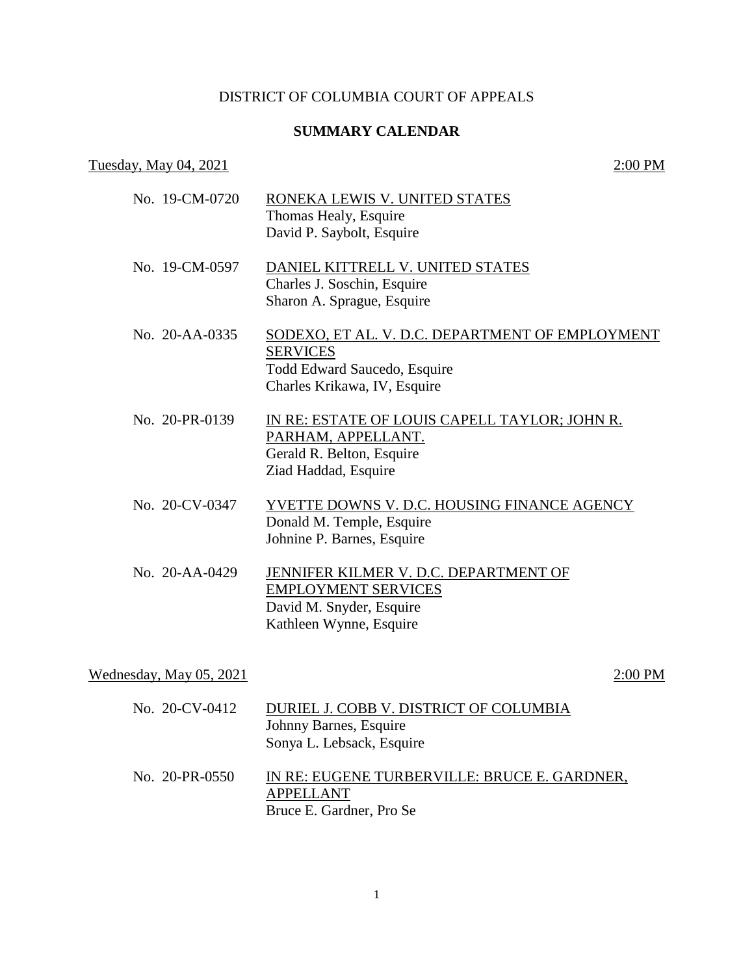## DISTRICT OF COLUMBIA COURT OF APPEALS

## **SUMMARY CALENDAR**

# Tuesday, May 04, 2021 2:00 PM

| No. 19-CM-0720        | RONEKA LEWIS V. UNITED STATES<br>Thomas Healy, Esquire<br>David P. Saybolt, Esquire                                                       |
|-----------------------|-------------------------------------------------------------------------------------------------------------------------------------------|
| No. 19-CM-0597        | DANIEL KITTRELL V. UNITED STATES<br>Charles J. Soschin, Esquire<br>Sharon A. Sprague, Esquire                                             |
| $\rm{No.}$ 20-AA-0335 | SODEXO, ET AL. V. D.C. DEPARTMENT OF EMPLOYMENT<br><b>SERVICES</b><br><b>Todd Edward Saucedo, Esquire</b><br>Charles Krikawa, IV, Esquire |
| No. 20-PR-0139        | IN RE: ESTATE OF LOUIS CAPELL TAYLOR; JOHN R.<br>PARHAM, APPELLANT.<br>Gerald R. Belton, Esquire<br>Ziad Haddad, Esquire                  |
| No. 20-CV-0347        | YVETTE DOWNS V. D.C. HOUSING FINANCE AGENCY<br>Donald M. Temple, Esquire<br>Johnine P. Barnes, Esquire                                    |
| No. 20-AA-0429        | JENNIFER KILMER V. D.C. DEPARTMENT OF<br><b>EMPLOYMENT SERVICES</b><br>David M. Snyder, Esquire<br>Kathleen Wynne, Esquire                |

Wednesday, May 05, 2021 2:00 PM

- No. 20-CV-0412 DURIEL J. COBB V. DISTRICT OF COLUMBIA Johnny Barnes, Esquire Sonya L. Lebsack, Esquire
- No. 20-PR-0550 IN RE: EUGENE TURBERVILLE: BRUCE E. GARDNER, APPELLANT Bruce E. Gardner, Pro Se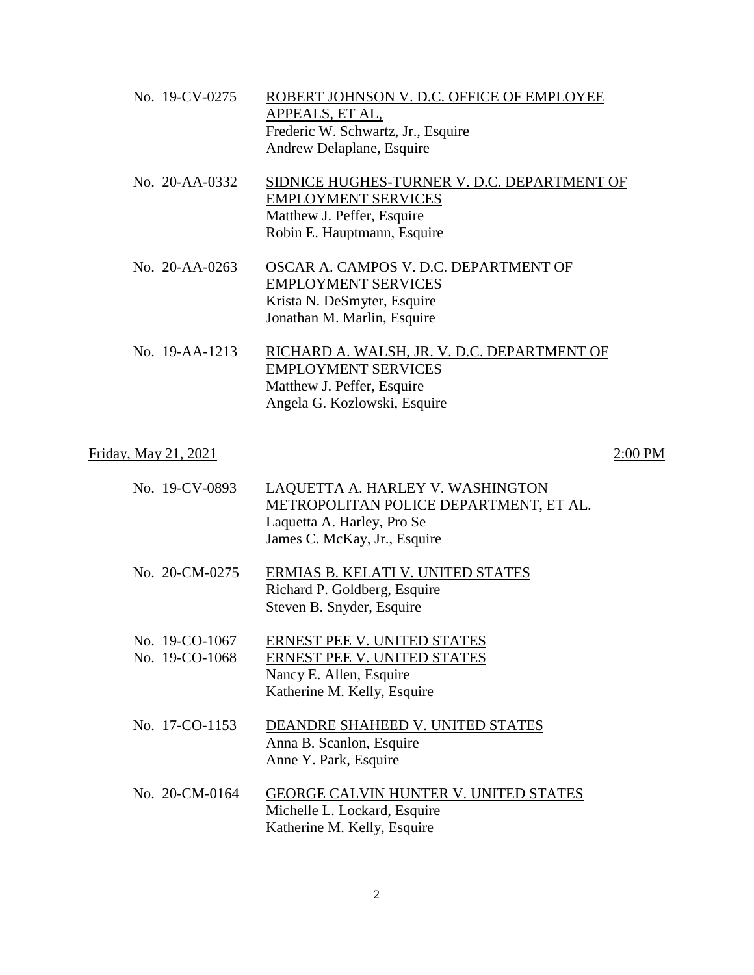| No. 19-CV-0275        | ROBERT JOHNSON V. D.C. OFFICE OF EMPLOYEE<br>APPEALS, ET AL,<br>Frederic W. Schwartz, Jr., Esquire<br>Andrew Delaplane, Esquire        |
|-----------------------|----------------------------------------------------------------------------------------------------------------------------------------|
| $\rm{No.}$ 20-AA-0332 | SIDNICE HUGHES-TURNER V. D.C. DEPARTMENT OF<br><b>EMPLOYMENT SERVICES</b><br>Matthew J. Peffer, Esquire<br>Robin E. Hauptmann, Esquire |
| No. $20 - A A - 0263$ | OSCAR A. CAMPOS V. D.C. DEPARTMENT OF<br><b>EMPLOYMENT SERVICES</b><br>Krista N. DeSmyter, Esquire<br>Jonathan M. Marlin, Esquire      |
| No. 19-AA-1213        | RICHARD A. WALSH, JR. V. D.C. DEPARTMENT OF<br><b>EMPLOYMENT SERVICES</b><br>Matthew J. Peffer, Esquire                                |

# Angela G. Kozlowski, Esquire

# Friday, May 21, 2021 2:00 PM

| No. 19-CV-0893                   | LAQUETTA A. HARLEY V. WASHINGTON<br>METROPOLITAN POLICE DEPARTMENT, ET AL.<br>Laquetta A. Harley, Pro Se<br>James C. McKay, Jr., Esquire |
|----------------------------------|------------------------------------------------------------------------------------------------------------------------------------------|
| No. 20-CM-0275                   | ERMIAS B. KELATI V. UNITED STATES<br>Richard P. Goldberg, Esquire<br>Steven B. Snyder, Esquire                                           |
| No. 19-CO-1067<br>No. 19-CO-1068 | <b>ERNEST PEE V. UNITED STATES</b><br>ERNEST PEE V. UNITED STATES<br>Nancy E. Allen, Esquire<br>Katherine M. Kelly, Esquire              |

- No. 17-CO-1153 DEANDRE SHAHEED V. UNITED STATES Anna B. Scanlon, Esquire Anne Y. Park, Esquire
- No. 20-CM-0164 GEORGE CALVIN HUNTER V. UNITED STATES Michelle L. Lockard, Esquire Katherine M. Kelly, Esquire